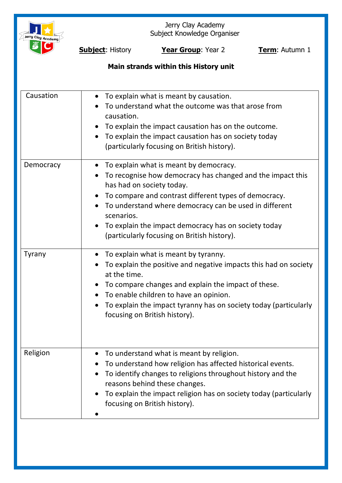

Jerry Clay Academy Subject Knowledge Organiser

**Subject:** History **Year Group**: Year 2 **Term**: Autumn 1

# **Main strands within this History unit**

| Causation | To explain what is meant by causation.<br>$\bullet$<br>To understand what the outcome was that arose from<br>causation.<br>To explain the impact causation has on the outcome.<br>To explain the impact causation has on society today<br>(particularly focusing on British history).                                                                                                  |
|-----------|----------------------------------------------------------------------------------------------------------------------------------------------------------------------------------------------------------------------------------------------------------------------------------------------------------------------------------------------------------------------------------------|
| Democracy | To explain what is meant by democracy.<br>$\bullet$<br>To recognise how democracy has changed and the impact this<br>has had on society today.<br>To compare and contrast different types of democracy.<br>To understand where democracy can be used in different<br>scenarios.<br>To explain the impact democracy has on society today<br>(particularly focusing on British history). |
| Tyrany    | To explain what is meant by tyranny.<br>To explain the positive and negative impacts this had on society<br>at the time.<br>To compare changes and explain the impact of these.<br>To enable children to have an opinion.<br>To explain the impact tyranny has on society today (particularly<br>focusing on British history).                                                         |
| Religion  | To understand what is meant by religion.<br>To understand how religion has affected historical events.<br>To identify changes to religions throughout history and the<br>reasons behind these changes.<br>To explain the impact religion has on society today (particularly<br>focusing on British history).                                                                           |